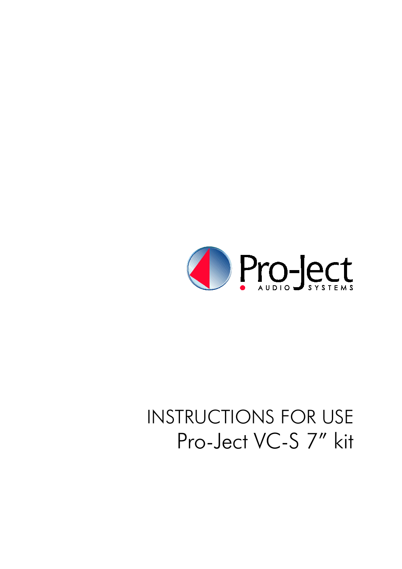

# **INSTRUCTIONS FOR USE** Pro-Ject VC-S 7" kit